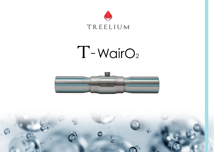

## $T-WairO<sub>2</sub>$



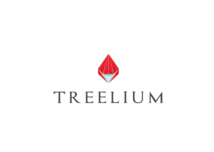

# TREELIUM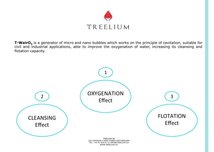

T-WairO<sub>2</sub> is a generator of micro and nano bubbles which works on the principle of cavitation, suitable for civil and industrial applications, able to improve the oxygenation of water, increasing its cleansing and flotation capacity.

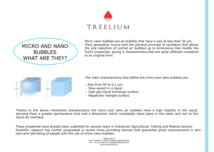



Micro nano bubbles are air bubbles that have a size of less than 50 µm. Their generation occurs with the physical principle of cavitation that allows the size reduction of normal air bubbles up to dimensions that modify the fluid's properties, giving it characteristics that are quite different compared to its original form.



The main characteristics that define the micro and nano bubbles are:

- Size from 50 to 0.1 µm.
- Slow ascent in a liquid.
- High gas-liquid exchange surface.
- Negatively charged surface.

Thanks to the above mentioned characteristics the micro and nano air bubbles have a high stability in the liquid, allowing them a greater permanence time and a dissolution which completely takes place in the water and not on the liquid-air interface.

These properties have already been exploited for several years in Industrial, Agricultural, Fishing and Medical sectors. Scientific research has further progressed in recent times providing devices that guarantee great improvements in skin care and well-being of people with the use of micro nano bubbles.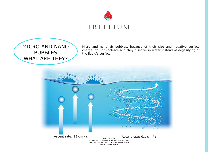

### MICRO AND NANO **BUBBLES** WHAT ARE THEY?

Micro and nano air bubbles, because of their size and negative surface charge, do not coalesce and they dissolve in water instead of degasifying of the liquid's surface.

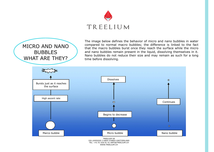

### MICRO AND NANO **BUBBLES** WHAT ARE THEY?

The image below defines the behavior of micro and nano bubbles in water compared to normal macro bubbles; the difference is linked to the fact that the macro bubbles burst once they reach the surface while the micro and nano bubbles remain present in the liquid, dissolving themselves in it. Nano bubbles do not reduce their size and may remain as such for a long time before dissolving.

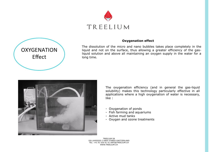



#### **Oxygenation effect**

The dissolution of the micro and nano bubbles takes place completely in the liquid and not on the surface, thus allowing a greater efficiency of the gasliquid solution and above all maintaining an oxygen supply in the water for a long time.



The oxygenation efficiency (and in general the gas-liquid solubility) makes this technology particularly effective in all applications where a high oxygenation of water is necessary, like :

- Oxygenation of ponds
- Fish farming and aquariums
- Active mud tanks
- Oxygen and ozone treatments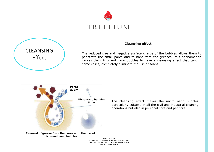



#### **Cleansing effect**

The reduced size and negative surface charge of the bubbles allows them to penetrate the small pores and to bond with the greases; this phenomenon causes the micro and nano bubbles to have a cleansing effect that can, in some cases, completely eliminate the use of soaps



The cleansing effect makes the micro nano bubbles particularly suitable in all the civil and industrial cleaning operations but also in personal care and pet care.

**Removal of grease from the pores with the use of micro and nano bubbles**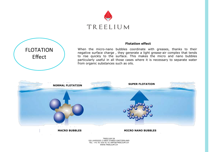



#### **Flotation effect**

When the micro-nano bubbles coordinate with greases, thanks to their negative surface charge , they generate a light grease-air complex that tends to rise quickly to the surface. This makes the micro and nano bubbles particularly useful in all those cases where it is necessary to separate water from organic substances such as oils.



**MACRO BUBBLES MICRO NANO BUBBLES**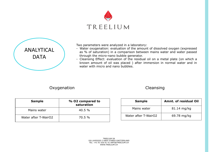



Two parameters were analyzed in a laboratory:

- Water oxygenation: evaluation of the amount of dissolved oxygen (expressed as % of saturation) in a comparison between mains water and water passed through the micro-nano bubble generator.
- Cleansing Effect: evaluation of the residual oil on a metal plate (on which a known amount of oil was placed ) after immersion in normal water and in water with micro and nano bubbles.

Oxygenation

Cleansing

| <b>Sample</b>        | % O2 compared to<br>saturation |  |
|----------------------|--------------------------------|--|
| Mains water          | $40.5\%$                       |  |
| Water after T-WairO2 | 70.5%                          |  |

| <b>Sample</b>        | <b>Amnt. of residual Oil</b> |  |  |
|----------------------|------------------------------|--|--|
| Mains water          | 81.14 mg/kg                  |  |  |
| Water after T-WairO2 | 69.78 mg/kg                  |  |  |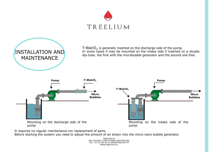



T-WairO<sub>2</sub> is generally inserted on the discharge side of the pump. In some cases it may be mounted on the intake side if inserted on a double dip-tube. the first with the microbubble generator and the second one free.



It requires no regular maintenance nor replacement of parts.

Before starting the system you need to adjust the amount of air drawn into the micro nano bubble generator.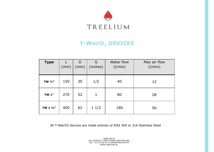

### **T-WairO<sub>2</sub> DEVICES**

| <b>Type</b>  | (mm) | D<br>(mm) | G<br>(inches) | Water flow<br>(1/min) | Max air flow<br>(1/min) |
|--------------|------|-----------|---------------|-----------------------|-------------------------|
| TW $1/2$ "   | 150  | 30        | 1/2           | 40                    | 12                      |
| <b>TW 1"</b> | 270  | 52        | 1             | 80                    | 28                      |
| TW 1 1/2"    | 400  | 62        | 11/2          | 180                   | 50                      |

All T-WairO2 devices are made entirely of AISI 304 or 316 Stainless Steel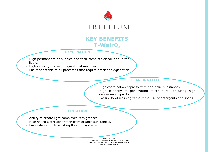

### **KEY BENEFITS T-WairO**<sub>2</sub>

#### **OXYGENATION**

- High permanence of bubbles and their complete dissolution in the liquid.
- High capacity in creating gas-liquid mixtures.
- Easily adaptable to all processes that require efficient oxygenation

### **CLEANSING EFFECT**

- High coordination capacity with non-polar substances.
- High capacity of penetrating micro pores ensuring high degreasing capacity.
- Possibility of washing without the use of detergents and soaps.

### **FLOTATION**

- Ability to create light complexes with greases.
- High speed water separation from organic substances.
- Easy adaptation to existing flotation systems.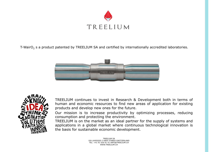

T-WairO<sub>2</sub> s a product patented by TREELIUM SA and certified by internationally accredited laboratories.





TREELIUM continues to invest in Research & Development both in terms of human and economic resources to find new areas of application for existing products and develop new ones for the future.

Our mission is to increase productivity by optimizing processes, reducing consumption and protecting the environment.

TREELIUM is on the market as an ideal partner for the supply of systems and applications in a global market where continuous technological innovation is the basis for sustainable economic development.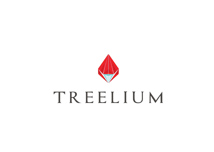

# TREELIUM